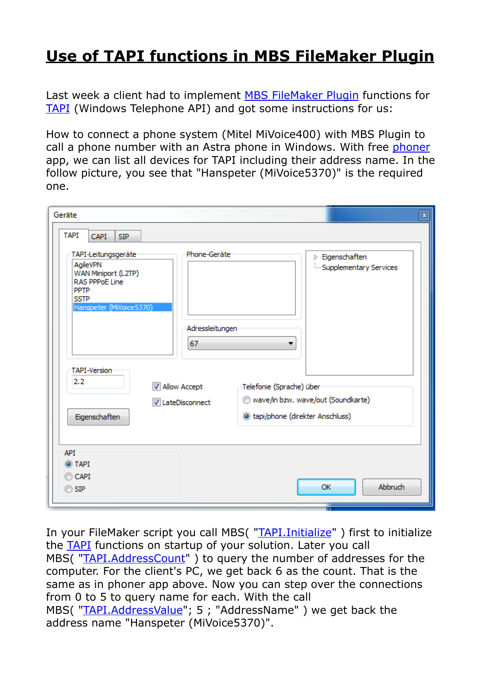## **[Use of TAPI functions in MBS FileMaker Plugin](https://www.mbs-plugins.com/archive/2018-12-17/Use_of_TAPI_functions_in_MBS_F/monkeybreadsoftware_blog_filemaker)**

Last week a client had to implement [MBS FileMaker Plugin](http://monkeybreadsoftware.com/filemaker/) functions for [TAPI](http://www.mbsplugins.eu/component_TAPI.shtml) (Windows Telephone API) and got some instructions for us:

How to connect a phone system (Mitel MiVoice400) with MBS Plugin to call a phone number with an Astra phone in Windows. With free [phoner](http://www.phoner.de/) app, we can list all devices for TAPI including their address name. In the follow picture, you see that "Hanspeter (MiVoice5370)" is the required one.

| Geräte<br>$\pmb{\mathbb{Z}}$<br><b>TAPI</b><br><b>CAPI</b><br><b>SIP</b>                                                                                                                           |                                              |
|----------------------------------------------------------------------------------------------------------------------------------------------------------------------------------------------------|----------------------------------------------|
| TAPI-Leitungsgeräte<br>Phone-Geräte<br>AgileVPN<br>WAN Miniport (L2TP)<br><b>RAS PPPoE Line</b><br><b>PPTP</b><br>SSTP<br>Hanspeter (MiVoice 5370)<br>Adressleitungen<br>67<br><b>TAPI-Version</b> | Eigenschaften<br>Þ<br>Supplementary Services |
| 2.2<br>Allow Accept                                                                                                                                                                                | Telefonie (Sprache) über                     |
| <b>V</b> LateDisconnect                                                                                                                                                                            | wave/in bzw. wave/out (Soundkarte)           |
| Eigenschaften                                                                                                                                                                                      | le tapi/phone (direkter Anschluss)           |
| API<br>O TAPI<br>CAPI <sup>®</sup><br>$\odot$ SIP                                                                                                                                                  | <b>Abbruch</b><br>ОК                         |

In your FileMaker script you call MBS( "[TAPI.Initialize](http://www.mbsplugins.eu/TAPIInitialize.shtml)" ) first to initialize the [TAPI](http://www.mbsplugins.eu/component_TAPI.shtml) functions on startup of your solution. Later you call MBS( "[TAPI.AddressCount](http://www.mbsplugins.eu/TAPIAddressCount.shtml)") to query the number of addresses for the computer. For the client's PC, we get back 6 as the count. That is the same as in phoner app above. Now you can step over the connections from 0 to 5 to query name for each. With the call MBS( "[TAPI.AddressValue](http://www.mbsplugins.eu/TAPIAddressValue.shtml)"; 5; "AddressName") we get back the address name "Hanspeter (MiVoice5370)".